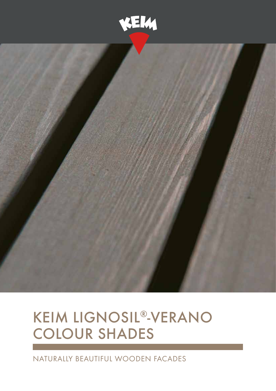



## KEIM Lignosil®-Verano colour shades

Naturally beautiful wooden facades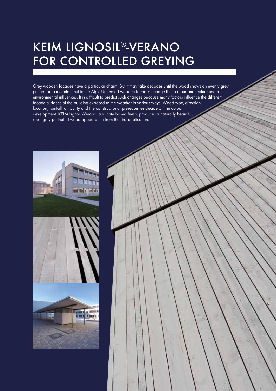## KEIM Lignosil®-Verano FOR CONTROLLED GREYING

Grey wooden facades have a particular charm. But it may take decades until the wood shows an evenly grey patina like a mountain hut in the Alps. Untreated wooden facades change their colour and texture under environmental influences. It is difficult to predict such changes because many factors influence the different facade surfaces of the building exposed to the weather in various ways. Wood type, direction, location, rainfall, air purity and the constructional prerequisites decide on the colour development. KEIM Lignosil-Verano, a silicate based finish, produces a naturally beautiful, silver-grey patinated wood appearance from the first application.



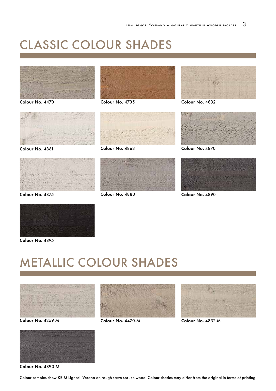## classic Colour Shades



Colour No. 4470



Colour No. 4861



Colour No. 4875



Colour No. 4735



Colour No. 4863



Colour No. 4880



Colour No. 4832



Colour No. 4870



Colour No. 4890



Colour No. 4895

## Metallic Colour Shades



Colour No. 4259-M





Colour No. 4470-M



Colour No. 4832-M

Colour No. 4890-M

Colour samples show KEIM Lignosil-Verano on rough sawn spruce wood. Colour shades may differ from the original in terms of printing.